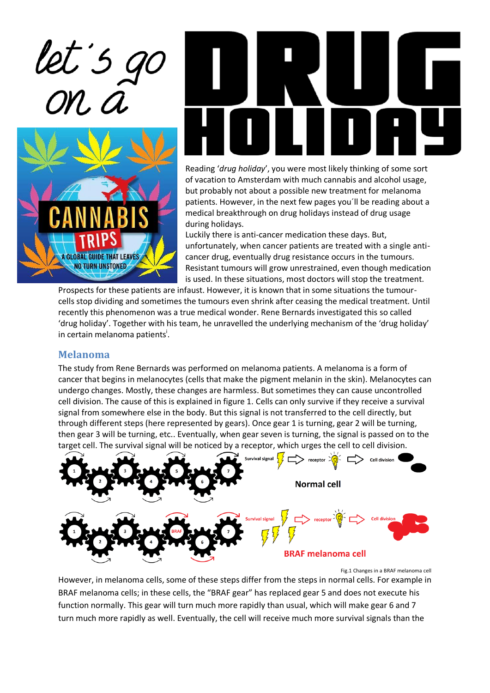

**GLOBAL GUIDE THAT LEAVES NO TURN UNSTONED** 



Reading '*drug holiday*', you were most likely thinking of some sort of vacation to Amsterdam with much cannabis and alcohol usage, but probably not about a possible new treatment for melanoma patients. However, in the next few pages you´ll be reading about a medical breakthrough on drug holidays instead of drug usage during holidays.

Luckily there is anti-cancer medication these days. But, unfortunately, when cancer patients are treated with a single anticancer drug, eventually drug resistance occurs in the tumours. Resistant tumours will grow unrestrained, even though medication is used. In these situations, most doctors will stop the treatment.

Prospects for these patients are infaust. However, it is known that in some situations the tumourcells stop dividing and sometimes the tumours even shrink after ceasing the medical treatment. Until recently this phenomenon was a true medical wonder. Rene Bernards investigated this so called 'drug holiday'. Together with his team, he unravelled the underlying mechanism of the 'drug holiday' in certain melanoma patients<sup>i</sup>.

#### **Melanoma**

The study from Rene Bernards was performed on melanoma patients. A melanoma is a form of cancer that begins in melanocytes (cells that make the pigment melanin in the skin). Melanocytes can undergo changes. Mostly, these changes are harmless. But sometimes they can cause uncontrolled cell division. The cause of this is explained in figure 1. Cells can only survive if they receive a survival signal from somewhere else in the body. But this signal is not transferred to the cell directly, but through different steps (here represented by gears). Once gear 1 is turning, gear 2 will be turning, then gear 3 will be turning, etc.. Eventually, when gear seven is turning, the signal is passed on to the target cell. The survival signal will be noticed by a receptor, which urges the cell to cell division.



Fig.1 Changes in a BRAF melanoma cell

However, in melanoma cells, some of these steps differ from the steps in normal cells. For example in BRAF melanoma cells; in these cells, the "BRAF gear" has replaced gear 5 and does not execute his function normally. This gear will turn much more rapidly than usual, which will make gear 6 and 7 turn much more rapidly as well. Eventually, the cell will receive much more survival signals than the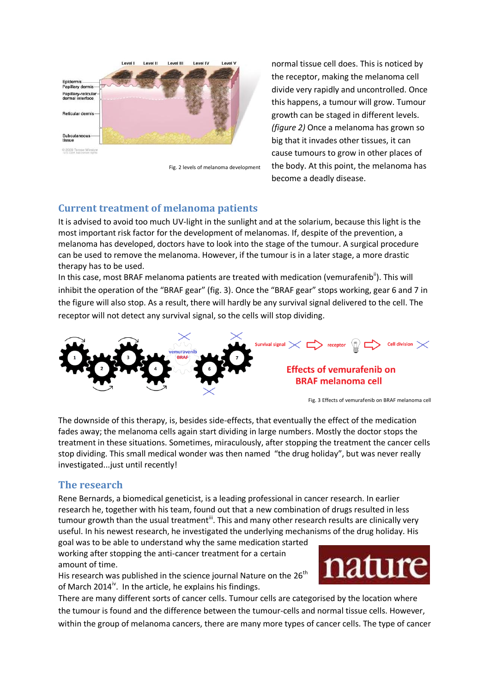

Fig. 2 levels of melanoma development

normal tissue cell does. This is noticed by the receptor, making the melanoma cell divide very rapidly and uncontrolled. Once this happens, a tumour will grow. Tumour growth can be staged in different levels. *(figure 2)* Once a melanoma has grown so big that it invades other tissues, it can cause tumours to grow in other places of the body. At this point, the melanoma has become a deadly disease.

### **Current treatment of melanoma patients**

It is advised to avoid too much UV-light in the sunlight and at the solarium, because this light is the most important risk factor for the development of melanomas. If, despite of the prevention, a melanoma has developed, doctors have to look into the stage of the tumour. A surgical procedure can be used to remove the melanoma. However, if the tumour is in a later stage, a more drastic therapy has to be used.

In this case, most BRAF melanoma patients are treated with medication (vemurafenib<sup>ii</sup>). This will inhibit the operation of the "BRAF gear" (fig. 3). Once the "BRAF gear" stops working, gear 6 and 7 in the figure will also stop. As a result, there will hardly be any survival signal delivered to the cell. The receptor will not detect any survival signal, so the cells will stop dividing.



The downside of this therapy, is, besides side-effects, that eventually the effect of the medication fades away; the melanoma cells again start dividing in large numbers. Mostly the doctor stops the treatment in these situations. Sometimes, miraculously, after stopping the treatment the cancer cells stop dividing. This small medical wonder was then named "the drug holiday", but was never really investigated...just until recently!

#### **The research**

Rene Bernards, a biomedical geneticist, is a leading professional in cancer research. In earlier research he, together with his team, found out that a new combination of drugs resulted in less tumour growth than the usual treatment<sup>iii</sup>. This and many other research results are clinically very useful. In his newest research, he investigated the underlying mechanisms of the drug holiday. His

goal was to be able to understand why the same medication started working after stopping the anti-cancer treatment for a certain amount of time.

His research was published in the science journal Nature on the  $26^{\text{th}}$ of March 2014<sup> $\dot{v}$ </sup>. In the article, he explains his findings.

There are many different sorts of cancer cells. Tumour cells are categorised by the location where the tumour is found and the difference between the tumour-cells and normal tissue cells. However, within the group of melanoma cancers, there are many more types of cancer cells. The type of cancer

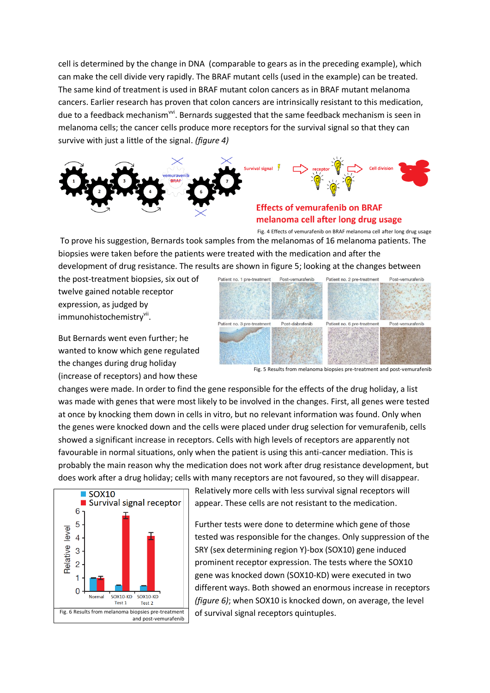cell is determined by the change in DNA (comparable to gears as in the preceding example), which can make the cell divide very rapidly. The BRAF mutant cells (used in the example) can be treated. The same kind of treatment is used in BRAF mutant colon cancers as in BRAF mutant melanoma cancers. Earlier research has proven that colon cancers are intrinsically resistant to this medication, due to a feedback mechanism<sup>wi</sup>. Bernards suggested that the same feedback mechanism is seen in melanoma cells; the cancer cells produce more receptors for the survival signal so that they can survive with just a little of the signal. *(figure 4)*



# melanoma cell after long drug usage

Fig. 4 Effects of vemurafenib on BRAF melanoma cell after long drug usage To prove his suggestion, Bernards took samples from the melanomas of 16 melanoma patients. The biopsies were taken before the patients were treated with the medication and after the development of drug resistance. The results are shown in figure 5; looking at the changes between

the post-treatment biopsies, six out of twelve gained notable receptor expression, as judged by immunohistochemistry<sup>vii</sup>.

But Bernards went even further; he wanted to know which gene regulated the changes during drug holiday (increase of receptors) and how these



Fig. 5 Results from melanoma biopsies pre-treatment and post-vemurafenib

changes were made. In order to find the gene responsible for the effects of the drug holiday, a list was made with genes that were most likely to be involved in the changes. First, all genes were tested at once by knocking them down in cells in vitro, but no relevant information was found. Only when the genes were knocked down and the cells were placed under drug selection for vemurafenib, cells showed a significant increase in receptors. Cells with high levels of receptors are apparently not favourable in normal situations, only when the patient is using this anti-cancer mediation. This is probably the main reason why the medication does not work after drug resistance development, but does work after a drug holiday; cells with many receptors are not favoured, so they will disappear.



Relatively more cells with less survival signal receptors will appear. These cells are not resistant to the medication.

Further tests were done to determine which gene of those tested was responsible for the changes. Only suppression of the SRY (sex determining region Y)-box (SOX10) gene induced prominent receptor expression. The tests where the SOX10 gene was knocked down (SOX10-KD) were executed in two different ways. Both showed an enormous increase in receptors *(figure 6)*; when SOX10 is knocked down, on average, the level of survival signal receptors quintuples.